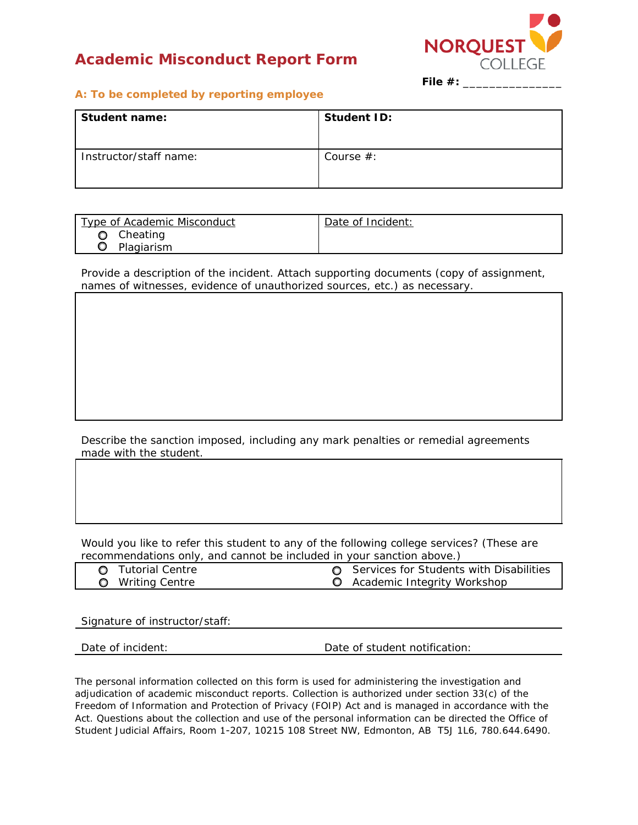# **Academic Misconduct Report Form**



**File #:** \_\_\_\_\_\_\_\_\_\_\_\_\_\_\_

#### **A: To be completed by reporting employee**

| Student name:          | Student ID:  |
|------------------------|--------------|
| Instructor/staff name: | Course $#$ : |

| Type of Academic Misconduct | Date of Incident: |
|-----------------------------|-------------------|
| Cheating                    |                   |
| Plagiarism                  |                   |

Provide a description of the incident. Attach supporting documents (copy of assignment, names of witnesses, evidence of unauthorized sources, etc.) as necessary.

Describe the sanction imposed, including any mark penalties or remedial agreements made with the student.

Would you like to refer this student to any of the following college services? (These are recommendations only, and cannot be included in your sanction above.)

| <b>O</b> Tutorial Centre | <b>O</b> Services for Students with Disabilities |
|--------------------------|--------------------------------------------------|
| <b>O</b> Writing Centre  | <b>Q</b> Academic Integrity Workshop             |

Signature of instructor/staff:

Date of incident: Date of student notification:

The personal information collected on this form is used for administering the investigation and adjudication of academic misconduct reports. Collection is authorized under section 33(c) of the *Freedom of Information and Protection of Privacy* (FOIP) *Act* and is managed in accordance with the Act. Questions about the collection and use of the personal information can be directed the Office of Student Judicial Affairs, Room 1-207, 10215 108 Street NW, Edmonton, AB T5J 1L6, 780.644.6490.